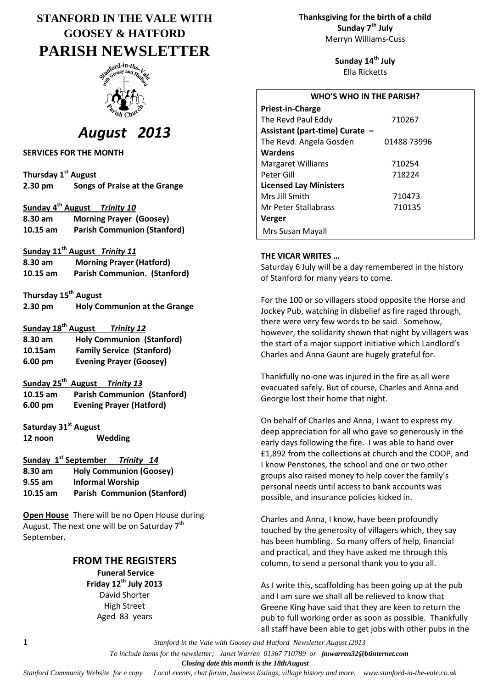# **STANFORD IN THE VALE WITH GOOSEY & HATFORD PARISH NEWSLETTER**



# *August 2013*

**SERVICES FOR THE MONTH**

| Thursday 1 <sup>st</sup> August |                               |  |
|---------------------------------|-------------------------------|--|
| $2.30$ pm                       | Songs of Praise at the Grange |  |

#### **Sunday 4 th August** *Trinity 10*

| 8.30 am    | <b>Morning Prayer (Goosey)</b>     |
|------------|------------------------------------|
| $10.15$ am | <b>Parish Communion (Stanford)</b> |

#### **Sunday 11th August** *Trinity 11*

| 8.30 am    | <b>Morning Prayer (Hatford)</b>     |  |
|------------|-------------------------------------|--|
| $10.15$ am | <b>Parish Communion. (Stanford)</b> |  |

| Thursday 15 <sup>th</sup> August |                                     |
|----------------------------------|-------------------------------------|
| $2.30$ pm                        | <b>Holy Communion at the Grange</b> |

# **Sunday 18th August** *Trinity 12*

| 8.30 am           | <b>Holy Communion (Stanford)</b> |
|-------------------|----------------------------------|
| 10.15am           | <b>Family Service (Stanford)</b> |
| $6.00 \text{ pm}$ | <b>Evening Prayer (Goosey)</b>   |

## **Sunday 25th August** *Trinity 13*

**10.15 am Parish Communion (Stanford) 6.00 pm Evening Prayer (Hatford)**

**Saturday 31st August 12 noon Wedding**

#### **Sunday 1st September** *Trinity 14*

| 8.30 am    | <b>Holy Communion (Goosey)</b>     |
|------------|------------------------------------|
| $9.55$ am  | <b>Informal Worship</b>            |
| $10.15$ am | <b>Parish Communion (Stanford)</b> |

**Open House** There will be no Open House during August. The next one will be on Saturday  $7<sup>th</sup>$ September.

# **FROM THE REGISTERS**

**Funeral Service Friday 12th July 2013** David Shorter High Street Aged 83 years

**Thanksgiving for the birth of a child Sunday 7th July** Merryn Williams-Cuss

> **Sunday 14th July** Ella Ricketts

| <b>WHO'S WHO IN THE PARISH?</b> |             |  |  |  |
|---------------------------------|-------------|--|--|--|
| Priest-in-Charge                |             |  |  |  |
| The Revd Paul Eddy              | 710267      |  |  |  |
| Assistant (part-time) Curate -  |             |  |  |  |
| The Revd. Angela Gosden         | 01488 73996 |  |  |  |
| Wardens                         |             |  |  |  |
| <b>Margaret Williams</b>        | 710254      |  |  |  |
| Peter Gill                      | 718224      |  |  |  |
| <b>Licensed Lay Ministers</b>   |             |  |  |  |
| Mrs Jill Smith                  | 710473      |  |  |  |
| Mr Peter Stallabrass            | 710135      |  |  |  |
| Verger                          |             |  |  |  |
| Mrs Susan Mayall                |             |  |  |  |

#### **THE VICAR WRITES …**

Saturday 6 July will be a day remembered in the history of Stanford for many years to come.

For the 100 or so villagers stood opposite the Horse and Jockey Pub, watching in disbelief as fire raged through, there were very few words to be said. Somehow, however, the solidarity shown that night by villagers was the start of a major support initiative which Landlord's Charles and Anna Gaunt are hugely grateful for.

Thankfully no-one was injured in the fire as all were evacuated safely. But of course, Charles and Anna and Georgie lost their home that night.

On behalf of Charles and Anna, I want to express my deep appreciation for all who gave so generously in the early days following the fire. I was able to hand over £1,892 from the collections at church and the COOP, and I know Penstones, the school and one or two other groups also raised money to help cover the family's personal needs until access to bank accounts was possible, and insurance policies kicked in.

Charles and Anna, I know, have been profoundly touched by the generosity of villagers which, they say has been humbling. So many offers of help, financial and practical, and they have asked me through this column, to send a personal thank you to you all.

As I write this, scaffolding has been going up at the pub and I am sure we shall all be relieved to know that Greene King have said that they are keen to return the pub to full working order as soon as possible. Thankfully all staff have been able to get jobs with other pubs in the

1 *Stanford in the Vale with Goosey and Hatford Newsletter August l2013*

 *To include items for the newsletter; Janet Warren 01367 710789 or jmwarren32@btinternet.com*

 *Closing date this month is the 18thAugust*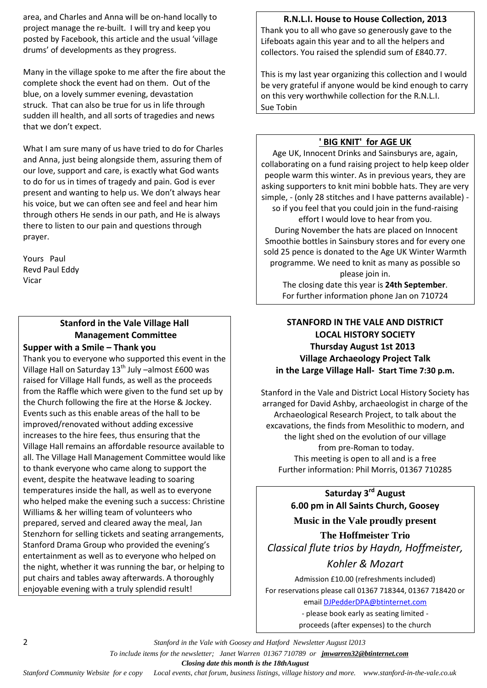area, and Charles and Anna will be on-hand locally to project manage the re-built. I will try and keep you posted by Facebook, this article and the usual 'village drums' of developments as they progress.

Many in the village spoke to me after the fire about the complete shock the event had on them. Out of the blue, on a lovely summer evening, devastation struck. That can also be true for us in life through sudden ill health, and all sorts of tragedies and news that we don't expect.

What I am sure many of us have tried to do for Charles and Anna, just being alongside them, assuring them of our love, support and care, is exactly what God wants to do for us in times of tragedy and pain. God is ever present and wanting to help us. We don't always hear his voice, but we can often see and feel and hear him through others He sends in our path, and He is always there to listen to our pain and questions through prayer.

Yours Paul Revd Paul Eddy Vicar

# **Stanford in the Vale Village Hall Management Committee**

#### **Supper with a Smile – Thank you**

Thank you to everyone who supported this event in the Village Hall on Saturday  $13<sup>th</sup>$  July –almost £600 was raised for Village Hall funds, as well as the proceeds from the Raffle which were given to the fund set up by the Church following the fire at the Horse & Jockey. Events such as this enable areas of the hall to be improved/renovated without adding excessive increases to the hire fees, thus ensuring that the Village Hall remains an affordable resource available to all. The Village Hall Management Committee would like to thank everyone who came along to support the event, despite the heatwave leading to soaring temperatures inside the hall, as well as to everyone who helped make the evening such a success: Christine Williams & her willing team of volunteers who prepared, served and cleared away the meal, Jan Stenzhorn for selling tickets and seating arrangements, Stanford Drama Group who provided the evening's entertainment as well as to everyone who helped on the night, whether it was running the bar, or helping to put chairs and tables away afterwards. A thoroughly enjoyable evening with a truly splendid result!

## **R.N.L.I. House to House Collection, 2013**

Thank you to all who gave so generously gave to the Lifeboats again this year and to all the helpers and collectors. You raised the splendid sum of £840.77.

This is my last year organizing this collection and I would be very grateful if anyone would be kind enough to carry on this very worthwhile collection for the R.N.L.I. Sue Tobin

## **' BIG KNIT' for AGE UK**

Age UK, Innocent Drinks and Sainsburys are, again, collaborating on a fund raising project to help keep older people warm this winter. As in previous years, they are asking supporters to knit mini bobble hats. They are very simple, - (only 28 stitches and I have patterns available) so if you feel that you could join in the fund-raising effort I would love to hear from you. During November the hats are placed on Innocent Smoothie bottles in Sainsbury stores and for every one sold 25 pence is donated to the Age UK Winter Warmth programme. We need to knit as many as possible so please join in. The closing date this year is **24th September**.

# **STANFORD IN THE VALE AND DISTRICT LOCAL HISTORY SOCIETY Thursday August 1st 2013 Village Archaeology Project Talk in the Large Village Hall- Start Time 7:30 p.m.**

For further information phone Jan on 710724

Stanford in the Vale and District Local History Society has arranged for David Ashby, archaeologist in charge of the Archaeological Research Project, to talk about the excavations, the finds from Mesolithic to modern, and the light shed on the evolution of our village from pre-Roman to today. This meeting is open to all and is a free Further information: Phil Morris, 01367 710285

> **Saturday 3rd August 6.00 pm in All Saints Church, Goosey**

**Music in the Vale proudly present**

**The Hoffmeister Trio** *Classical flute trios by Haydn, Hoffmeister,* 

## *Kohler & Mozart*

Admission £10.00 (refreshments included) For reservations please call 01367 718344, 01367 718420 or email [DJPedderDPA@btinternet.com](mailto:DJPedderDPA@btinternet.com)

> - please book early as seating limited proceeds (after expenses) to the church

2 *Stanford in the Vale with Goosey and Hatford Newsletter August l2013 To include items for the newsletter; Janet Warren 01367 710789 or jmwarren32@btinternet.com Closing date this month is the 18thAugust*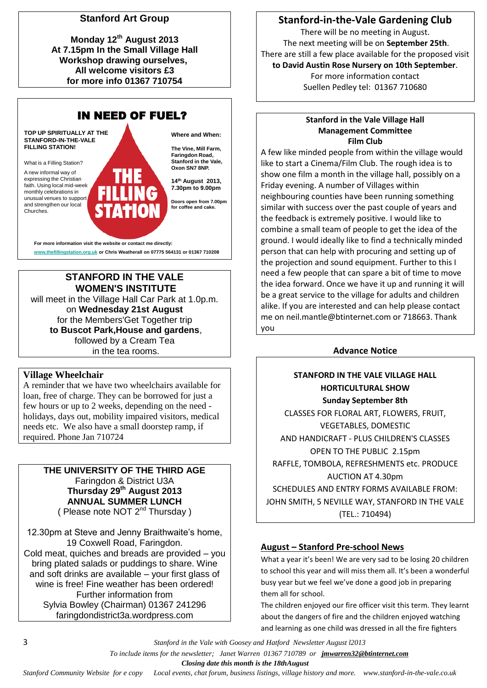# **Stanford Art Group**

**Monday 12th August 2013 At 7.15pm In the Small Village Hall Workshop drawing ourselves, All welcome visitors £3 for more info 01367 710754**



# **STANFORD IN THE VALE WOMEN'S INSTITUTE**

will meet in the Village Hall Car Park at 1.0p.m. on **Wednesday 21st August** for the Members'Get Together trip **to Buscot Park,House and gardens**, followed by a Cream Tea in the tea rooms.

## **Village Wheelchair**

A reminder that we have two wheelchairs available for loan, free of charge. They can be borrowed for just a few hours or up to 2 weeks, depending on the need holidays, days out, mobility impaired visitors, medical needs etc. We also have a small doorstep ramp, if required. Phone Jan 710724

# **THE UNIVERSITY OF THE THIRD AGE** Faringdon & District U3A **Thursday 29th August 2013 ANNUAL SUMMER LUNCH**

( Please note NOT 2<sup>nd</sup> Thursday )

12.30pm at Steve and Jenny Braithwaite's home, 19 Coxwell Road, Faringdon. Cold meat, quiches and breads are provided – you bring plated salads or puddings to share. Wine and soft drinks are available – your first glass of wine is free! Fine weather has been ordered! Further information from Sylvia Bowley (Chairman) 01367 241296 faringdondistrict3a.wordpress.com

# **Stanford-in-the-Vale Gardening Club**

There will be no meeting in August. The next meeting will be on **September 25th**. There are still a few place available for the proposed visit **to David Austin Rose Nursery on 10th September**. For more information contact Suellen Pedley tel: 01367 710680

## **Stanford in the Vale Village Hall Management Committee Film Club**

A few like minded people from within the village would like to start a Cinema/Film Club. The rough idea is to show one film a month in the village hall, possibly on a Friday evening. A number of Villages within neighbouring counties have been running something similar with success over the past couple of years and the feedback is extremely positive. I would like to combine a small team of people to get the idea of the ground. I would ideally like to find a technically minded person that can help with procuring and setting up of the projection and sound equipment. Further to this I need a few people that can spare a bit of time to move the idea forward. Once we have it up and running it will be a great service to the village for adults and children alike. If you are interested and can help please contact me on [neil.mantle@btinternet.com](mailto:neil.mantle@btinternet.com) or 718663. Thank you

# **Advance Notice**

# **STANFORD IN THE VALE VILLAGE HALL HORTICULTURAL SHOW Sunday September 8th**  CLASSES FOR FLORAL ART, FLOWERS, FRUIT, VEGETABLES, DOMESTIC AND HANDICRAFT - PLUS CHILDREN'S CLASSES OPEN TO THE PUBLIC 2.15pm RAFFLE, TOMBOLA, REFRESHMENTS etc. PRODUCE AUCTION AT 4.30pm SCHEDULES AND ENTRY FORMS AVAILABLE FROM: JOHN SMITH, 5 NEVILLE WAY, STANFORD IN THE VALE (TEL.: 710494)

# **August – Stanford Pre-school News**

What a year it's been! We are very sad to be losing 20 children to school this year and will miss them all. It's been a wonderful busy year but we feel we've done a good job in preparing them all for school.

The children enjoyed our fire officer visit this term. They learnt about the dangers of fire and the children enjoyed watching and learning as one child was dressed in all the fire fighters

3 *Stanford in the Vale with Goosey and Hatford Newsletter August l2013*

 *To include items for the newsletter; Janet Warren 01367 710789 or jmwarren32@btinternet.com*

 *Closing date this month is the 18thAugust*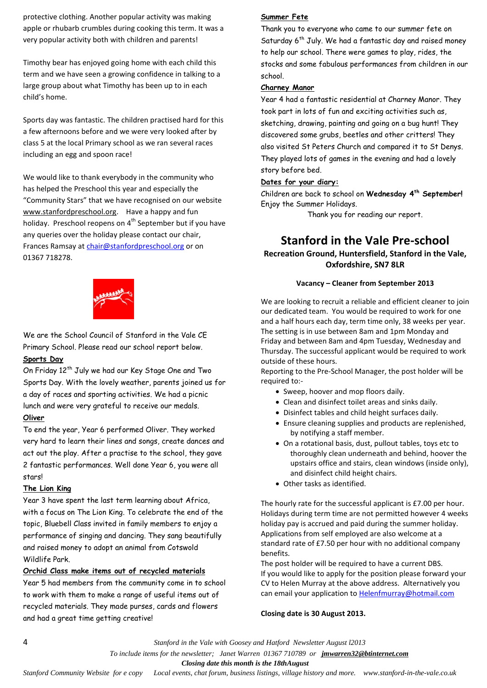protective clothing. Another popular activity was making apple or rhubarb crumbles during cooking this term. It was a very popular activity both with children and parents!

Timothy bear has enjoyed going home with each child this term and we have seen a growing confidence in talking to a large group about what Timothy has been up to in each child's home.

Sports day was fantastic. The children practised hard for this a few afternoons before and we were very looked after by class 5 at the local Primary school as we ran several races including an egg and spoon race!

We would like to thank everybody in the community who has helped the Preschool this year and especially the "Community Stars" that we have recognised on our website www.stanfordpreschool.org. Have a happy and fun holiday. Preschool reopens on 4<sup>th</sup> September but if you have any queries over the holiday please contact our chair, Frances Ramsay at [chair@stanfordpreschool.org](mailto:chair@stanfordpreschool.org) or on 01367 718278.



We are the School Council of Stanford in the Vale CE Primary School. Please read our school report below. **Sports Day**

On Friday 12<sup>th</sup> July we had our Key Stage One and Two Sports Day. With the lovely weather, parents joined us for a day of races and sporting activities. We had a picnic lunch and were very grateful to receive our medals. **Oliver**

To end the year, Year 6 performed Oliver. They worked very hard to learn their lines and songs, create dances and act out the play. After a practise to the school, they gave 2 fantastic performances. Well done Year 6, you were all stars!

#### **The Lion King**

Year 3 have spent the last term learning about Africa, with a focus on The Lion King. To celebrate the end of the topic, Bluebell Class invited in family members to enjoy a performance of singing and dancing. They sang beautifully and raised money to adopt an animal from Cotswold Wildlife Park.

# **Orchid Class make items out of recycled materials**

Year 5 had members from the community come in to school to work with them to make a range of useful items out of recycled materials. They made purses, cards and flowers and had a great time getting creative!

# **Summer Fete**

Thank you to everyone who came to our summer fete on Saturday 6<sup>th</sup> July. We had a fantastic day and raised money to help our school. There were games to play, rides, the stocks and some fabulous performances from children in our school.

#### **Charney Manor**

Year 4 had a fantastic residential at Charney Manor. They took part in lots of fun and exciting activities such as, sketching, drawing, painting and going on a bug hunt! They discovered some grubs, beetles and other critters! They also visited St Peters Church and compared it to St Denys. They played lots of games in the evening and had a lovely story before bed.

#### **Dates for your diary:**

Children are back to school on **Wednesday 4th September!** Enjoy the Summer Holidays.

Thank you for reading our report.

# **Stanford in the Vale Pre-school**

**Recreation Ground, Huntersfield, Stanford in the Vale, Oxfordshire, SN7 8LR**

#### **Vacancy – Cleaner from September 2013**

We are looking to recruit a reliable and efficient cleaner to join our dedicated team. You would be required to work for one and a half hours each day, term time only, 38 weeks per year. The setting is in use between 8am and 1pm Monday and Friday and between 8am and 4pm Tuesday, Wednesday and Thursday. The successful applicant would be required to work outside of these hours.

Reporting to the Pre-School Manager, the post holder will be required to:-

- Sweep, hoover and mop floors daily.
- Clean and disinfect toilet areas and sinks daily.
- Disinfect tables and child height surfaces daily.
- Ensure cleaning supplies and products are replenished, by notifying a staff member.
- On a rotational basis, dust, pullout tables, toys etc to thoroughly clean underneath and behind, hoover the upstairs office and stairs, clean windows (inside only), and disinfect child height chairs.
- Other tasks as identified.

The hourly rate for the successful applicant is £7.00 per hour. Holidays during term time are not permitted however 4 weeks holiday pay is accrued and paid during the summer holiday. Applications from self employed are also welcome at a standard rate of £7.50 per hour with no additional company benefits.

The post holder will be required to have a current DBS. If you would like to apply for the position please forward your CV to Helen Murray at the above address. Alternatively you can email your application to [Helenfmurray@hotmail.com](mailto:Helenfmurray@hotmail.com)

#### **Closing date is 30 August 2013.**

4 *Stanford in the Vale with Goosey and Hatford Newsletter August l2013*

 *Closing date this month is the 18thAugust*